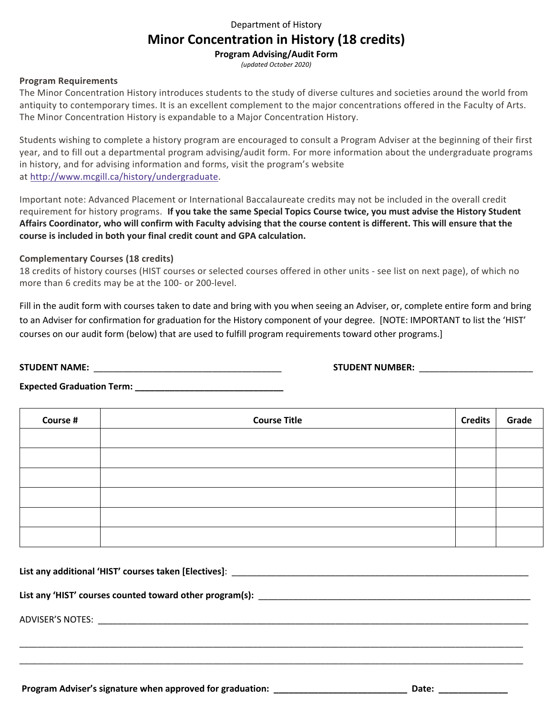## Department of History

# **Minor Concentration in History (18 credits)**

**Program Advising/Audit Form**

*(updated October 2020)*

#### **Program Requirements**

The Minor Concentration History introduces students to the study of diverse cultures and societies around the world from antiquity to contemporary times. It is an excellent complement to the major concentrations offered in the Faculty of Arts. The Minor Concentration History is expandable to a Major Concentration History.

Students wishing to complete a history program are encouraged to consult a Program Adviser at the beginning of their first year, and to fill out a departmental program advising/audit form. For more information about the undergraduate programs in history, and for advising information and forms, visit the program's website at http://www.mcgill.ca/history/undergraduate.

Important note: Advanced Placement or International Baccalaureate credits may not be included in the overall credit requirement for history programs. **If you take the same Special Topics Course twice, you must advise the History Student Affairs Coordinator, who will confirm with Faculty advising that the course content is different. This will ensure that the course is included in both your final credit count and GPA calculation.**

## **Complementary Courses (18 credits)**

18 credits of history courses (HIST courses or selected courses offered in other units - see list on next page), of which no more than 6 credits may be at the 100- or 200-level.

Fill in the audit form with courses taken to date and bring with you when seeing an Adviser, or, complete entire form and bring to an Adviser for confirmation for graduation for the History component of your degree. [NOTE: IMPORTANT to list the 'HIST' courses on our audit form (below) that are used to fulfill program requirements toward other programs.]

**STUDENT NAME:** \_\_\_\_\_\_\_\_\_\_\_\_\_\_\_\_\_\_\_\_\_\_\_\_\_\_\_\_\_\_\_\_\_\_\_\_\_\_ **STUDENT NUMBER:** \_\_\_\_\_\_\_\_\_\_\_\_\_\_\_\_\_\_\_\_\_\_\_

**Expected Graduation Term: \_\_\_\_\_\_\_\_\_\_\_\_\_\_\_\_\_\_\_\_\_\_\_\_\_\_\_\_\_\_**

| Course # | <b>Course Title</b> | <b>Credits</b> | Grade |
|----------|---------------------|----------------|-------|
|          |                     |                |       |
|          |                     |                |       |
|          |                     |                |       |
|          |                     |                |       |
|          |                     |                |       |
|          |                     |                |       |

\_\_\_\_\_\_\_\_\_\_\_\_\_\_\_\_\_\_\_\_\_\_\_\_\_\_\_\_\_\_\_\_\_\_\_\_\_\_\_\_\_\_\_\_\_\_\_\_\_\_\_\_\_\_\_\_\_\_\_\_\_\_\_\_\_\_\_\_\_\_\_\_\_\_\_\_\_\_\_\_\_\_\_\_\_\_\_\_\_\_\_\_\_\_\_\_\_\_\_\_\_\_\_\_\_\_\_\_\_\_\_\_ \_\_\_\_\_\_\_\_\_\_\_\_\_\_\_\_\_\_\_\_\_\_\_\_\_\_\_\_\_\_\_\_\_\_\_\_\_\_\_\_\_\_\_\_\_\_\_\_\_\_\_\_\_\_\_\_\_\_\_\_\_\_\_\_\_\_\_\_\_\_\_\_\_\_\_\_\_\_\_\_\_\_\_\_\_\_\_\_\_\_\_\_\_\_\_\_\_\_\_\_\_\_\_\_\_\_\_\_\_\_\_\_

**List any additional 'HIST' courses taken [Electives]**: \_\_\_\_\_\_\_\_\_\_\_\_\_\_\_\_\_\_\_\_\_\_\_\_\_\_\_\_\_\_\_\_\_\_\_\_\_\_\_\_\_\_\_\_\_\_\_\_\_\_\_\_\_\_\_\_\_\_\_\_

List any 'HIST' courses counted toward other program(s): \_\_\_\_\_\_\_\_\_\_\_\_\_\_\_\_\_\_\_\_\_\_\_\_

ADVISER'S NOTES: \_\_\_\_\_\_\_\_\_\_\_\_\_\_\_\_\_\_\_\_\_\_\_\_\_\_\_\_\_\_\_\_\_\_\_\_\_\_\_\_\_\_\_\_\_\_\_\_\_\_\_\_\_\_\_\_\_\_\_\_\_\_\_\_\_\_\_\_\_\_\_\_\_\_\_\_\_\_\_\_\_\_\_\_\_\_\_

Program Adviser's signature when approved for graduation: \_\_\_\_\_\_\_\_\_\_\_\_\_\_\_\_\_\_\_\_\_\_\_\_\_\_\_\_\_\_\_\_\_\_\_Date: \_\_\_\_\_\_\_\_\_\_\_